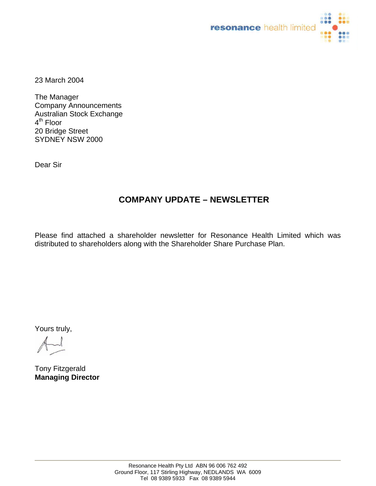

23 March 2004

The Manager Company Announcements Australian Stock Exchange 4<sup>th</sup> Floor 20 Bridge Street SYDNEY NSW 2000

Dear Sir

## **COMPANY UPDATE – NEWSLETTER**

Please find attached a shareholder newsletter for Resonance Health Limited which was distributed to shareholders along with the Shareholder Share Purchase Plan.

Yours truly,

Tony Fitzgerald **Managing Director**